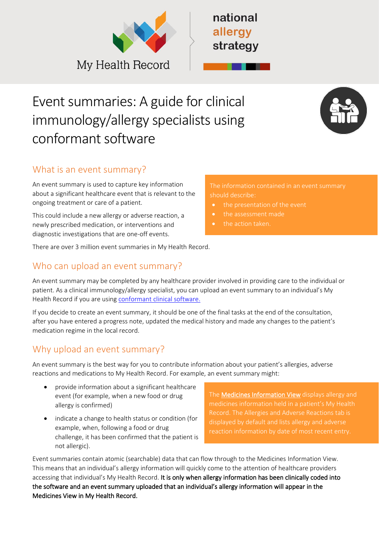

# Event summaries: A guide for clinical immunology/allergy specialists using conformant software



# What is an event summary?

An event summary is used to capture key information about a significant healthcare event that is relevant to the ongoing treatment or care of a patient.

This could include a new allergy or adverse reaction, a newly prescribed medication, or interventions and diagnostic investigations that are one-off events.

There are over 3 million event summaries in My Health Record.

## Who can upload an event summary?

An event summary may be completed by any healthcare provider involved in providing care to the individual or patient. As a clinical immunology/allergy specialist, you can upload an event summary to an individual's My Health Record if you are using [conformant clinical software.](https://www.myhealthrecord.gov.au/for-healthcare-professionals/conformant-clinical-software-products)

If you decide to create an event summary, it should be one of the final tasks at the end of the consultation, after you have entered a progress note, updated the medical history and made any changes to the patient's medication regime in the local record.

## Why upload an event summary?

An event summary is the best way for you to contribute information about your patient's allergies, adverse reactions and medications to My Health Record. For example, an event summary might:

- provide information about a significant healthcare event (for example, when a new food or drug allergy is confirmed)
- indicate a change to health status or condition (for example, when, following a food or drug challenge, it has been confirmed that the patient is not allergic).

Th[e Medicines Information View](https://www.myhealthrecord.gov.au/for-healthcare-professionals/howtos/medicines-information-view) displays allergy and medicines information held in a patient's My Health displayed by default and lists allergy and adverse

Event summaries contain atomic (searchable) data that can flow through to the Medicines Information View. This means that an individual's allergy information will quickly come to the attention of healthcare providers accessing that individual's My Health Record. It is only when allergy information has been clinically coded into the software and an event summary uploaded that an individual's allergy information will appear in the Medicines View in My Health Record.

should describe:

- 
- the assessment made
- the action taken.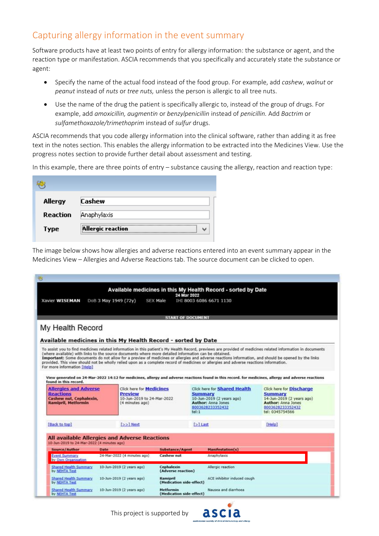## Capturing allergy information in the event summary

Software products have at least two points of entry for allergy information: the substance or agent, and the reaction type or manifestation. ASCIA recommends that you specifically and accurately state the substance or agent:

- Specify the name of the actual food instead of the food group. For example, add *cashew*, *walnut* or *peanut* instead of *nuts* or *tree nuts,* unless the person is allergic to all tree nuts.
- Use the name of the drug the patient is specifically allergic to, instead of the group of drugs. For example, add *amoxicillin, augmentin* or *benzylpenicillin* instead of *penicillin.* Add *Bactrim* or *sulfamethoxazole/trimethoprim* instead of *sulfur* drugs.

ASCIA recommends that you code allergy information into the clinical software, rather than adding it as free text in the notes section. This enables the allergy information to be extracted into the Medicines View. Use the progress notes section to provide further detail about assessment and testing.

In this example, there are three points of entry – substance causing the allergy, reaction and reaction type:

| Allergy  | <b>Cashew</b>            |
|----------|--------------------------|
| Reaction | Anaphylaxis              |
| Type     | <b>Allergic reaction</b> |

The image below shows how allergies and adverse reactions entered into an event summary appear in the Medicines View – Allergies and Adverse Reactions tab. The source document can be clicked to open.

|                                                                                                      |                                                                                                       |                                      | Available medicines in this My Health Record - sorted by Date<br>24 Mar 2022                                                                                                                                                                                                                  |                                             |
|------------------------------------------------------------------------------------------------------|-------------------------------------------------------------------------------------------------------|--------------------------------------|-----------------------------------------------------------------------------------------------------------------------------------------------------------------------------------------------------------------------------------------------------------------------------------------------|---------------------------------------------|
| Xavier WISEMAN                                                                                       | DoB 3 May 1949 (72y)                                                                                  | <b>SEX Male</b>                      | THT 8003 6086 6671 1130                                                                                                                                                                                                                                                                       |                                             |
|                                                                                                      |                                                                                                       |                                      |                                                                                                                                                                                                                                                                                               |                                             |
|                                                                                                      |                                                                                                       |                                      | <b>START OF DOCUMENT</b>                                                                                                                                                                                                                                                                      |                                             |
| My Health Record                                                                                     |                                                                                                       |                                      |                                                                                                                                                                                                                                                                                               |                                             |
|                                                                                                      | Available medicines in this My Health Record - sorted by Date                                         |                                      |                                                                                                                                                                                                                                                                                               |                                             |
|                                                                                                      |                                                                                                       |                                      |                                                                                                                                                                                                                                                                                               |                                             |
|                                                                                                      | (where available) with links to the source documents where more detailed information can be obtained. |                                      | To assist you to find medicines related information in this patient's My Health Record, previews are provided of medicines related information in documents                                                                                                                                   |                                             |
|                                                                                                      |                                                                                                       |                                      | Important: Some documents do not allow for a preview of medicines or allergies and adverse reactions information, and should be opened by the links<br>provided. This view should not be wholly relied upon as a complete record of medicines or allergies and adverse reactions information. |                                             |
| For more information [Help]                                                                          |                                                                                                       |                                      |                                                                                                                                                                                                                                                                                               |                                             |
|                                                                                                      |                                                                                                       |                                      | View generated on 24-Mar-2022 14:12 for medicines, allergy and adverse reactions found in this record. for medicines, allergy and adverse reactions                                                                                                                                           |                                             |
| found in this record.                                                                                |                                                                                                       |                                      |                                                                                                                                                                                                                                                                                               |                                             |
| <b>Allergies and Adverse</b>                                                                         | <b>Click here for Medicines</b>                                                                       |                                      | <b>Click here for Shared Health</b>                                                                                                                                                                                                                                                           | <b>Click here for Discharge</b>             |
| <b>Reactions</b><br>Cashew nut, Cephalexin,                                                          | Preview<br>10-Jun-2019 to 24-Mar-2022                                                                 |                                      | Summary<br>10-Jun-2019 (2 years ago)                                                                                                                                                                                                                                                          | <b>Summary</b><br>14-Jun-2019 (2 years ago) |
| <b>Ramipril, Metformin</b>                                                                           | (4 minutes ago)                                                                                       |                                      | <b>Author: Anna Jones</b>                                                                                                                                                                                                                                                                     | <b>Author: Anna Jones</b>                   |
|                                                                                                      |                                                                                                       |                                      | 8003628233352432<br>tel:1                                                                                                                                                                                                                                                                     | 8003628233352432<br>tel: 0345754566         |
|                                                                                                      |                                                                                                       |                                      |                                                                                                                                                                                                                                                                                               |                                             |
|                                                                                                      | $5 > 1$ Next                                                                                          |                                      | $[>]$ Last                                                                                                                                                                                                                                                                                    | [Help]                                      |
|                                                                                                      |                                                                                                       |                                      |                                                                                                                                                                                                                                                                                               |                                             |
|                                                                                                      | <b>All available Allergies and Adverse Reactions</b>                                                  |                                      |                                                                                                                                                                                                                                                                                               |                                             |
|                                                                                                      |                                                                                                       |                                      |                                                                                                                                                                                                                                                                                               |                                             |
| [Back to top]<br>10-Jun-2019 to 24-Mar-2022 (4 minutes ago)<br>Source/Author<br><b>Event Summary</b> | <b>Date</b><br>24-Mar-2022 (4 minutes ago)                                                            | Substance/Agent<br>Cashew nut        | Manifestation(s)<br>Anaphylaxis                                                                                                                                                                                                                                                               |                                             |
| by Own Organisation                                                                                  |                                                                                                       |                                      |                                                                                                                                                                                                                                                                                               |                                             |
| Shared Health Summary<br>by NEHTA Test                                                               | 10-Jun-2019 (2 years ago)                                                                             | Cephalexin<br>(Adverse reaction)     | Allergic reaction                                                                                                                                                                                                                                                                             |                                             |
| Shared Health Summary<br>by NEHTA Test                                                               | 10-Jun-2019 (2 years ago)                                                                             | Ramipril<br>(Medication side-effect) | ACE inhibitor induced cough                                                                                                                                                                                                                                                                   |                                             |

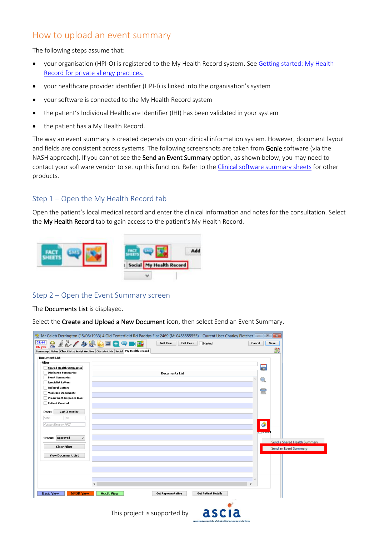## How to upload an event summary

The following steps assume that:

- your organisation (HPI-O) is registered to the My Health Record system. See [Getting started: My Health](https://www.nationalallergystrategy.org.au/images/mhr/NAS_Getting_started_MHR_for_private_allergy_practices_updated_March_2022.pdf)  [Record for private allergy practices.](https://www.nationalallergystrategy.org.au/images/mhr/NAS_Getting_started_MHR_for_private_allergy_practices_updated_March_2022.pdf)
- your healthcare provider identifier (HPI-I) is linked into the organisation's system
- your software is connected to the My Health Record system
- the patient's Individual Healthcare Identifier (IHI) has been validated in your system
- the patient has a My Health Record.

The way an event summary is created depends on your clinical information system. However, document layout and fields are consistent across systems. The following screenshots are taken from Genie software (via the NASH approach). If you cannot see the **Send an Event Summary** option, as shown below, you may need to contact your software vendor to set up this function. Refer to the [Clinical software summary sheets](https://www.digitalhealth.gov.au/healthcare-providers/training-and-support/my-health-record-training-and-support#Clinical-software-summary-sheets) for other products.

#### Step 1 – Open the My Health Record tab

Open the patient's local medical record and enter the clinical information and notes for the consultation. Select the My Health Record tab to gain access to the patient's My Health Record.



#### Step 2 – Open the Event Summary screen

The Documents List is displayed.

Select the Create and Upload a New Document icon, then select Send an Event Summary.

|                                         | Mr Caleb Derrington (15/06/1933) 4 Old Tenterfield Rd Paddys Flat 2469 (M: 0455555555) - Current User Charley Fletcher |                       |                              |
|-----------------------------------------|------------------------------------------------------------------------------------------------------------------------|-----------------------|------------------------------|
| 02:44<br>86 yrs                         | <b>RAL ORDED THE</b><br><b>Add Cons</b><br><b>Edit Cons</b><br>Marked                                                  | Cancel                | Save                         |
|                                         | Summary Notes Checklists/Script Archive Obstetric Hx Social My Health Record                                           |                       | 法国<br><b>CONTROL</b>         |
| <b>Document List</b>                    |                                                                                                                        |                       |                              |
| Filter                                  |                                                                                                                        |                       |                              |
| <b>Shared Health Summaries</b>          |                                                                                                                        | 冨                     |                              |
| Discharge Summaries                     | <b>Documents List</b>                                                                                                  |                       |                              |
| <b>Event Summaries</b>                  |                                                                                                                        | $\mathbb{C}$          |                              |
| Specialist Letters                      |                                                                                                                        |                       |                              |
| <b>Referral Letters</b>                 |                                                                                                                        | 量                     |                              |
| <b>Medicare Documents</b>               |                                                                                                                        |                       |                              |
| Prescribe & Dispense Docs               |                                                                                                                        |                       |                              |
| $\neg$ Patient Created                  |                                                                                                                        |                       |                              |
| Last 3 months<br>Date:                  |                                                                                                                        |                       |                              |
| $T_{\mathcal{O}}$<br>From               |                                                                                                                        |                       |                              |
|                                         |                                                                                                                        |                       |                              |
| Author Name or HPII                     |                                                                                                                        | ۵                     |                              |
|                                         |                                                                                                                        | <b>Lating</b> Departy |                              |
| <b>Status: Approved</b><br>$\checkmark$ |                                                                                                                        |                       |                              |
|                                         |                                                                                                                        |                       | Send a Shared Health Summary |
| <b>Clear Filter</b>                     |                                                                                                                        |                       | Send an Event Summary        |
| <b>View Document List</b>               |                                                                                                                        |                       |                              |
|                                         |                                                                                                                        |                       |                              |
|                                         |                                                                                                                        |                       |                              |
|                                         |                                                                                                                        |                       |                              |
|                                         |                                                                                                                        |                       |                              |
|                                         | h.                                                                                                                     |                       |                              |
|                                         | $\rightarrow$<br>$\epsilon$                                                                                            |                       |                              |
| <b>Basic View</b><br><b>NPDR View</b>   | <b>Audit View</b><br><b>Get Patient Details</b><br><b>Get Representative</b>                                           |                       |                              |
|                                         |                                                                                                                        |                       |                              |

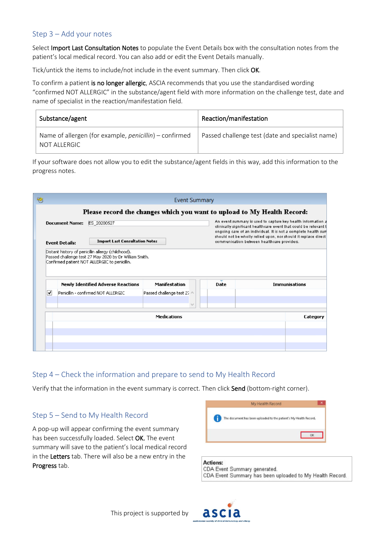#### Step 3 – Add your notes

Select Import Last Consultation Notes to populate the Event Details box with the consultation notes from the patient's local medical record. You can also add or edit the Event Details manually.

Tick/untick the items to include/not include in the event summary. Then click OK.

To confirm a patient is no longer allergic, ASCIA recommends that you use the standardised wording "confirmed NOT ALLERGIC" in the substance/agent field with more information on the challenge test, date and name of specialist in the reaction/manifestation field.

| Substance/agent                                                        | Reaction/manifestation                           |
|------------------------------------------------------------------------|--------------------------------------------------|
| Name of allergen (for example, penicillin) – confirmed<br>NOT ALLERGIC | Passed challenge test (date and specialist name) |

If your software does not allow you to edit the substance/agent fields in this way, add this information to the progress notes.

|   |                       |                                                      | <b>Event Summary</b><br>Please record the changes which you want to upload to My Health Record: |      |                                                                                                                                                                                                                                                                                                                      |
|---|-----------------------|------------------------------------------------------|-------------------------------------------------------------------------------------------------|------|----------------------------------------------------------------------------------------------------------------------------------------------------------------------------------------------------------------------------------------------------------------------------------------------------------------------|
|   | <b>Document Name:</b> | ES 20200527<br><b>Import Last Consultation Notes</b> |                                                                                                 |      | An event summary is used to capture key health information a<br>clinically significant healthcare event that could be relevant to<br>ongoing care of an individual. It is not a complete health sum<br>should not be wholly relied upon, nor should it replace direct<br>communication between healthcare providers. |
|   |                       | Confirmed patient NOT ALLERGIC to penicillin.        |                                                                                                 |      |                                                                                                                                                                                                                                                                                                                      |
|   |                       |                                                      |                                                                                                 |      |                                                                                                                                                                                                                                                                                                                      |
|   |                       | <b>Newly Identified Adverse Reactions</b>            | Manifestation                                                                                   | Date | <b>Immunisations</b>                                                                                                                                                                                                                                                                                                 |
| ▿ |                       | Penicillin - confirmed NOT ALLERGIC                  | Passed challenge test 27 A                                                                      |      |                                                                                                                                                                                                                                                                                                                      |
|   |                       |                                                      |                                                                                                 |      |                                                                                                                                                                                                                                                                                                                      |
|   |                       |                                                      | $\checkmark$                                                                                    |      |                                                                                                                                                                                                                                                                                                                      |
|   |                       |                                                      | <b>Medications</b>                                                                              |      | Category                                                                                                                                                                                                                                                                                                             |
|   |                       |                                                      |                                                                                                 |      |                                                                                                                                                                                                                                                                                                                      |
|   |                       |                                                      |                                                                                                 |      |                                                                                                                                                                                                                                                                                                                      |
|   |                       |                                                      |                                                                                                 |      |                                                                                                                                                                                                                                                                                                                      |

#### Step 4 – Check the information and prepare to send to My Health Record

Verify that the information in the event summary is correct. Then click Send (bottom-right corner).

#### Step 5 – Send to My Health Record

A pop-up will appear confirming the event summary has been successfully loaded. Select OK. The event summary will save to the patient's local medical record in the Letters tab. There will also be a new entry in the Progress tab.



**Actions:** CDA Event Summary generated. CDA Event Summary has been uploaded to My Health Record.